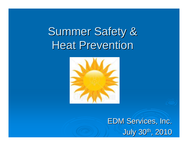**Summer Safety & Heat Prevention** 



**EDM Services, Inc.** July 30th, 2010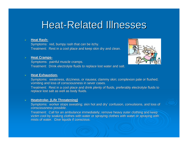# **Heat-Related Illnesses**

#### ¾**Heat Rash-**

Symptoms: red, bumpy rash that can be itchy. Treatment: Rest in a cool place and keep skin dry and clean.

#### ¾**Heat Cramps-**

Symptoms: painful muscle cramps.

Treatment: Drink electrolyte fluids to replace lost water and salt.

#### ¾**Heat Exhaustion-**

Symptoms: weakness, dizziness, or nausea; clammy skin; complexion pale or flushed; vomiting and loss of consciousness in sever cases.

Treatment: Rest in a cool place and drink plenty of fluids, preferably electrolyte fluids to replace lost salt as well as body fluids.

### ¾**Heatstroke-** (Life Threatening)

Symptoms: worker stops sweating; skin hot and dry' confusion, convulsions, and loss of consciousness possible.

Treatment: Call for an ambulance immediately; remove heavy outer clothing and keep victim cool by soaking clothes with water or spraying clothes with water or spraying with mists of water. Give liquids if conscious.

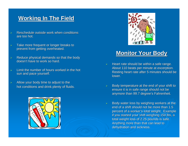# **Working In The Field Working In The Field**

- ¾Reschedule outside work when conditions are too hot.
- ¾Take more frequent or longer breaks to prevent from getting overheated.
- ¾Reduce physical demands so that the body doesn't have to work so hard.
- ¾Limit the number of hours worked in the hot sun and pace yourself.
- ¾Allow your body time to adjust to the hot conditions and drink plenty of fluids.





# **Monitor Your Body Monitor Your Body**

- ¾Heart rate should be within a safe range. About 110 beats per minute at excerption. Resting heart rate after 5 minutes should be lower.
- ¾Body temperature at the end of your shift to ensure it is in safe range should not be anymore than 99.7 degree's Fahrenheit.
- ¾Body water loss by weighing workers at the end of a shift should not be more than 1.5 percent of a worker's total weight. Example if you started your shift weighing 150 lbs, a total weight loss of 2.25 pounds is safe. Anything more than that can lead to dehydration and sickness.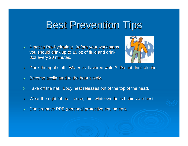# **Best Prevention Tips**

 $\triangleright$  Practice Pre-hydration: Before your work starts you should drink up to 16 oz of fluid and drink 8oz every 20 minutes.



- $\triangleright$  Drink the right stuff. Water vs. flavored water? Do not drink alcohol.
- ¾Become acclimated to the heat slowly.
- ¾Take off the hat. Body heat releases out of the top of the head.
- $\blacktriangleright$ Wear the right fabric. Loose, thin, white synthetic t-shirts are best.
- ¾Don't remove PPE (personal protective equipment).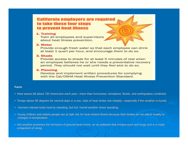# **California employers are required** to take these four steps to prevent heat illness

# 1. Training

Train all employees and supervisors about heat illness prevention.

# 2. Water

Provide enough fresh water so that each employee can drink at least 1 quart per hour, and encourage them to do so.

## 3. Shade

Provide access to shade for at least 5 minutes of rest when an employee believes he or she needs a preventative recovery period. They should not wait until they feel sick to do so.

# 4. Planning

Develop and implement written procedures for complying with the Cal/OSHA Heat Illness Prevention Standard.

# **Facts**:

- Heat waves kill about 700 Americans each year—more than hurricanes, tornadoes, floods, and earthquakes combined.
- Temps above 90 degrees for several days in a row, risks of heat stroke rise sharply—especially if the weather is humid.
- $\bullet~$  Humans release body heat by sweating, but hot, humid weather slows sweating.
- Young children and elderly people are at high risk for heat-related illness because their bodies do not adjust readily to changes in temperature
- $\bullet\,$  Hot weather promotes the formation of ground-level ozone, an air pollutant that irritates eyes and lungs and is a major component of smog